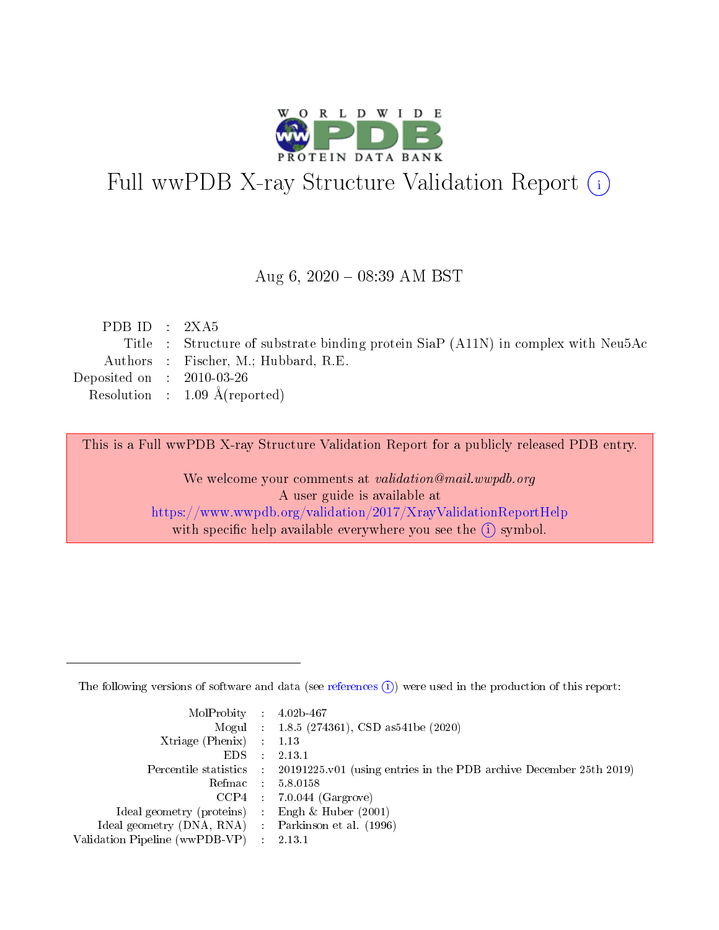

# Full wwPDB X-ray Structure Validation Report (i)

#### Aug 6,  $2020 - 08:39$  AM BST

| PDB ID : $2XA5$             |                                                                                   |
|-----------------------------|-----------------------------------------------------------------------------------|
|                             | Title : Structure of substrate binding protein SiaP (A11N) in complex with Neu5Ac |
|                             | Authors : Fischer, M.; Hubbard, R.E.                                              |
| Deposited on : $2010-03-26$ |                                                                                   |
|                             | Resolution : $1.09 \text{ Å}(\text{reported})$                                    |
|                             |                                                                                   |

This is a Full wwPDB X-ray Structure Validation Report for a publicly released PDB entry.

We welcome your comments at validation@mail.wwpdb.org A user guide is available at <https://www.wwpdb.org/validation/2017/XrayValidationReportHelp> with specific help available everywhere you see the  $(i)$  symbol.

The following versions of software and data (see [references](https://www.wwpdb.org/validation/2017/XrayValidationReportHelp#references)  $(1)$ ) were used in the production of this report:

| $MolProbability$ : 4.02b-467                        |        |                                                                                            |
|-----------------------------------------------------|--------|--------------------------------------------------------------------------------------------|
|                                                     |        | Mogul : 1.8.5 (274361), CSD as 541be (2020)                                                |
| Xtriage (Phenix) $: 1.13$                           |        |                                                                                            |
| EDS –                                               | $\sim$ | 2.13.1                                                                                     |
|                                                     |        | Percentile statistics : 20191225.v01 (using entries in the PDB archive December 25th 2019) |
| Refmac 58.0158                                      |        |                                                                                            |
|                                                     |        | $CCP4$ 7.0.044 (Gargrove)                                                                  |
| Ideal geometry (proteins) : Engh $\&$ Huber (2001)  |        |                                                                                            |
| Ideal geometry (DNA, RNA) : Parkinson et al. (1996) |        |                                                                                            |
| Validation Pipeline (wwPDB-VP) : 2.13.1             |        |                                                                                            |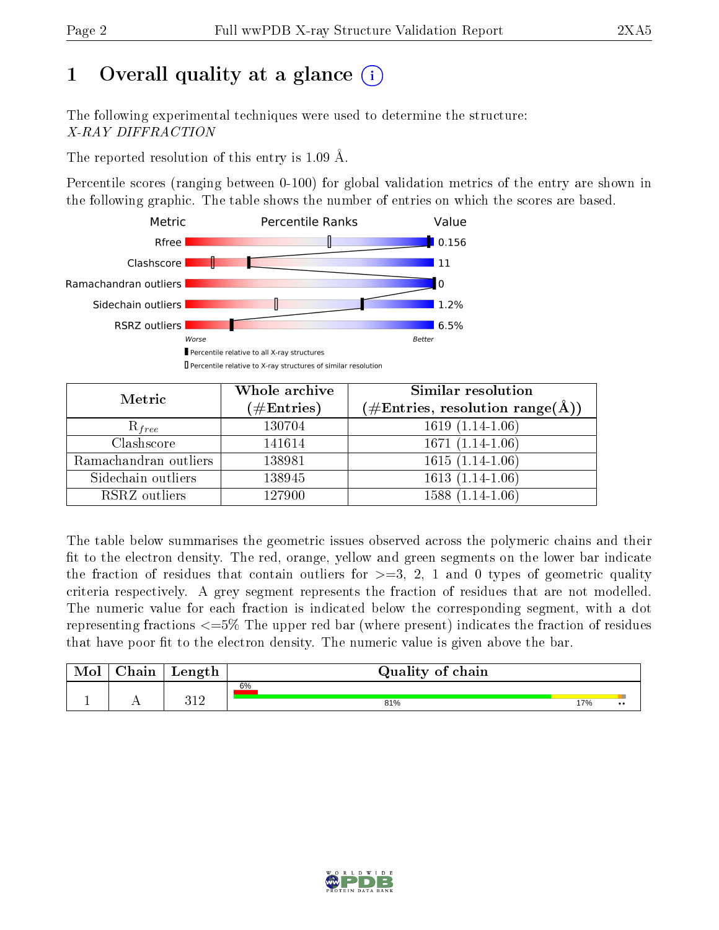# 1 [O](https://www.wwpdb.org/validation/2017/XrayValidationReportHelp#overall_quality)verall quality at a glance  $(i)$

The following experimental techniques were used to determine the structure: X-RAY DIFFRACTION

The reported resolution of this entry is 1.09 Å.

Percentile scores (ranging between 0-100) for global validation metrics of the entry are shown in the following graphic. The table shows the number of entries on which the scores are based.



| Metric                | Whole archive<br>$(\#\text{Entries})$ | Similar resolution<br>(#Entries, resolution range( $\AA$ )) |
|-----------------------|---------------------------------------|-------------------------------------------------------------|
| $R_{free}$            | 130704                                | $1619(1.14-1.06)$                                           |
| Clashscore            | 141614                                | $1671(1.14-1.06)$                                           |
| Ramachandran outliers | 138981                                | $1615 (1.\overline{14-1.06})$                               |
| Sidechain outliers    | 138945                                | $1613(1.14-1.06)$                                           |
| RSRZ outliers         | 127900                                | $1588(1.14-1.06)$                                           |

The table below summarises the geometric issues observed across the polymeric chains and their fit to the electron density. The red, orange, yellow and green segments on the lower bar indicate the fraction of residues that contain outliers for  $>=3, 2, 1$  and 0 types of geometric quality criteria respectively. A grey segment represents the fraction of residues that are not modelled. The numeric value for each fraction is indicated below the corresponding segment, with a dot representing fractions  $\epsilon=5\%$  The upper red bar (where present) indicates the fraction of residues that have poor fit to the electron density. The numeric value is given above the bar.

| Mol           | $\gamma$ hain | Length         | Quality of chain |     |                  |  |  |  |  |
|---------------|---------------|----------------|------------------|-----|------------------|--|--|--|--|
|               |               |                | 6%               |     |                  |  |  |  |  |
| <u>. на п</u> | . .           | າ 1 ດ<br>, , , | 81%              | 17% | $\bullet\bullet$ |  |  |  |  |

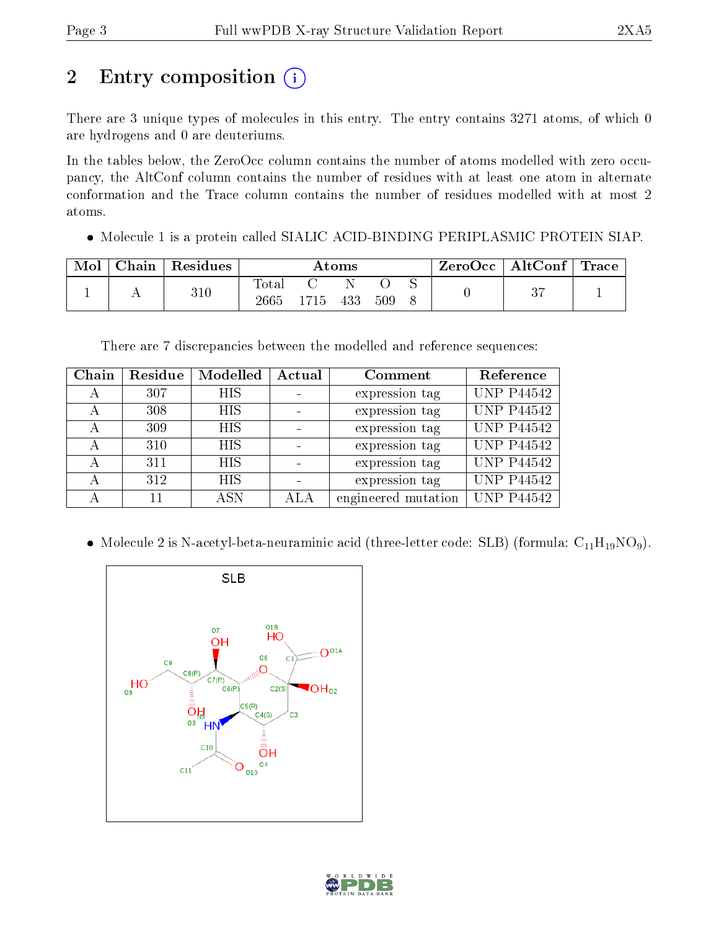# 2 Entry composition (i)

There are 3 unique types of molecules in this entry. The entry contains 3271 atoms, of which 0 are hydrogens and 0 are deuteriums.

In the tables below, the ZeroOcc column contains the number of atoms modelled with zero occupancy, the AltConf column contains the number of residues with at least one atom in alternate conformation and the Trace column contains the number of residues modelled with at most 2 atoms.

Molecule 1 is a protein called SIALIC ACID-BINDING PERIPLASMIC PROTEIN SIAP.

| Chain | Residues | Atoms         |      |     |     | $\text{ZeroOcc} \mid \text{AltConf} \mid \text{Trace}$ |  |  |
|-------|----------|---------------|------|-----|-----|--------------------------------------------------------|--|--|
|       | 310      | Total<br>2665 | 1715 | 433 | 509 |                                                        |  |  |

There are 7 discrepancies between the modelled and reference sequences:

| Chain | Residue | Modelled   | Actual | Comment             | Reference         |
|-------|---------|------------|--------|---------------------|-------------------|
| А     | 307     | <b>HIS</b> |        | expression tag      | <b>UNP P44542</b> |
| А     | 308     | <b>HIS</b> |        | expression tag      | <b>UNP P44542</b> |
| А     | 309     | <b>HIS</b> |        | expression tag      | <b>UNP P44542</b> |
| А     | 310     | <b>HIS</b> |        | expression tag      | <b>UNP P44542</b> |
| А     | 311     | <b>HIS</b> |        | expression tag      | <b>UNP P44542</b> |
| А     | 312     | <b>HIS</b> |        | expression tag      | <b>UNP P44542</b> |
| А     | 11      | A SN       | ALA    | engineered mutation | <b>UNP P44542</b> |

• Molecule 2 is N-acetyl-beta-neuraminic acid (three-letter code: SLB) (formula:  $C_{11}H_{19}NO_9$ ).



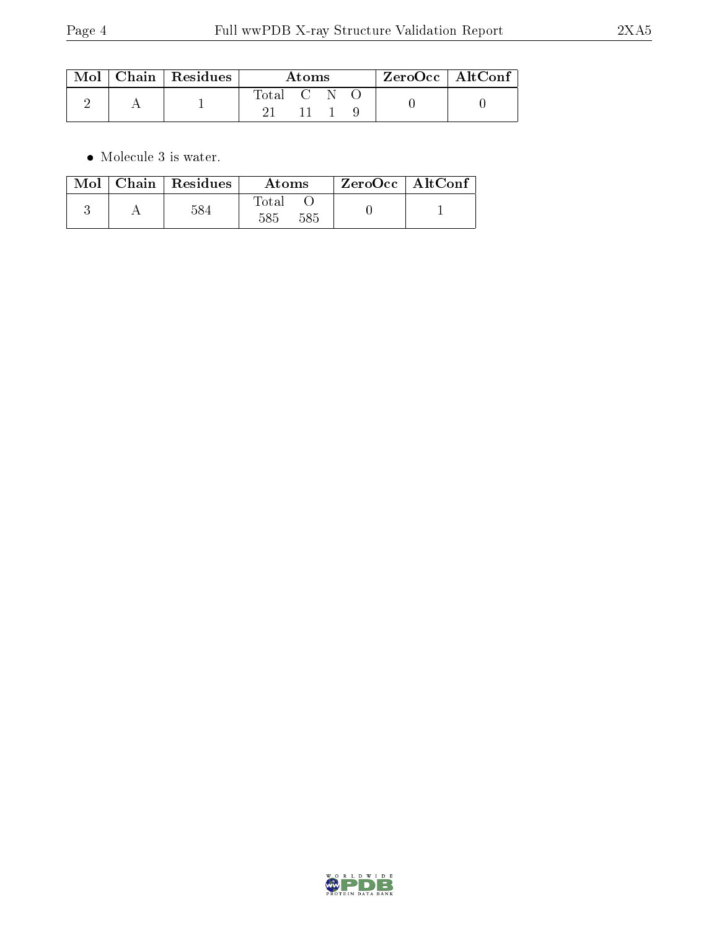|  | $\mid$ Mol $\mid$ Chain $\mid$ Residues | Atoms   |  |  | $ZeroOcc$   AltConf |  |
|--|-----------------------------------------|---------|--|--|---------------------|--|
|  |                                         | Total C |  |  |                     |  |

 $\bullet\,$  Molecule 3 is water.

| Mol | Chain   Residues | Atoms        | $ZeroOcc \   \ AltConf$ |  |
|-----|------------------|--------------|-------------------------|--|
|     |                  | Total<br>585 |                         |  |

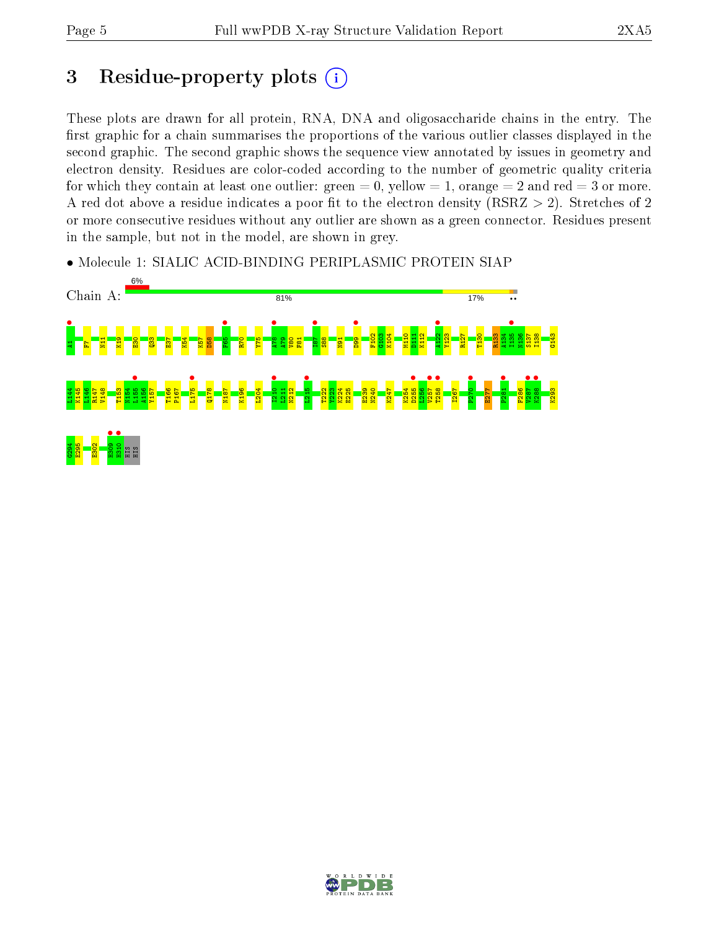# 3 Residue-property plots  $\binom{1}{1}$

These plots are drawn for all protein, RNA, DNA and oligosaccharide chains in the entry. The first graphic for a chain summarises the proportions of the various outlier classes displayed in the second graphic. The second graphic shows the sequence view annotated by issues in geometry and electron density. Residues are color-coded according to the number of geometric quality criteria for which they contain at least one outlier: green  $= 0$ , yellow  $= 1$ , orange  $= 2$  and red  $= 3$  or more. A red dot above a residue indicates a poor fit to the electron density ( $RSRZ > 2$ ). Stretches of 2 or more consecutive residues without any outlier are shown as a green connector. Residues present in the sample, but not in the model, are shown in grey.

• Molecule 1: SIALIC ACID-BINDING PERIPLASMIC PROTEIN SIAP



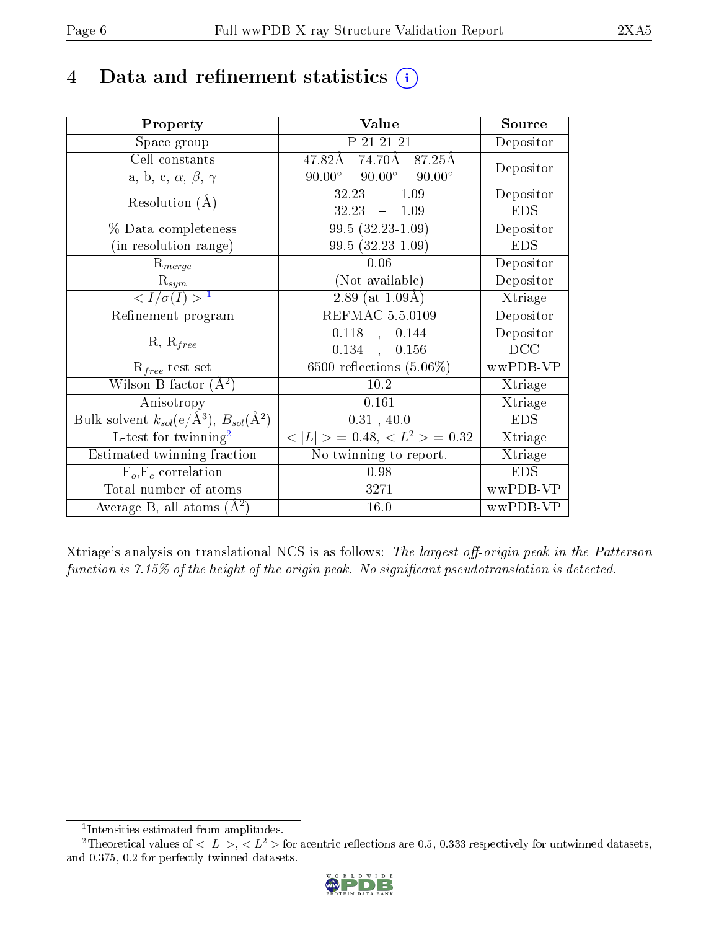# 4 Data and refinement statistics  $(i)$

| Property                                                             | Value                                           | Source     |
|----------------------------------------------------------------------|-------------------------------------------------|------------|
| Space group                                                          | P 21 21 21                                      | Depositor  |
| Cell constants                                                       | $74.70\AA$ 87.25Å<br>47.82Å                     | Depositor  |
| a, b, c, $\alpha$ , $\beta$ , $\gamma$                               | $90.00^\circ$<br>$90.00^\circ$<br>$90.00^\circ$ |            |
| Resolution $(A)$                                                     | 32.23<br>1.09<br>$\frac{1}{2}$                  | Depositor  |
|                                                                      | 32.23<br>$-1.09$                                | <b>EDS</b> |
| % Data completeness                                                  | $99.5(32.23-1.09)$                              | Depositor  |
| (in resolution range)                                                | $99.5(32.23-1.09)$                              | <b>EDS</b> |
| $R_{merge}$                                                          | 0.06                                            | Depositor  |
| $\mathrm{R}_{sym}$                                                   | (Not available)                                 | Depositor  |
| $\langle I/\sigma(I) \rangle^{-1}$                                   | $2.89$ (at $1.09\text{\AA}$ )                   | Xtriage    |
| Refinement program                                                   | <b>REFMAC 5.5.0109</b>                          | Depositor  |
|                                                                      | $0.118$ ,<br>0.144                              | Depositor  |
| $R, R_{free}$                                                        | $0.134$ ,<br>0.156                              | DCC        |
| $\mathcal{R}_{free}$ test set                                        | $\overline{6500}$ reflections $(5.06\%)$        | wwPDB-VP   |
| Wilson B-factor $(A^2)$                                              | 10.2                                            | Xtriage    |
| Anisotropy                                                           | 0.161                                           | Xtriage    |
| Bulk solvent $k_{sol}(e/\mathring{A}^3)$ , $B_{sol}(\mathring{A}^2)$ | 0.31, 40.0                                      | <b>EDS</b> |
| L-test for $\mathrm{twinning}^2$                                     | $< L >$ = 0.48, $< L2$ = 0.32                   | Xtriage    |
| Estimated twinning fraction                                          | No twinning to report.                          | Xtriage    |
| $F_o, F_c$ correlation                                               | 0.98                                            | <b>EDS</b> |
| Total number of atoms                                                | 3271                                            | wwPDB-VP   |
| Average B, all atoms $(A^2)$                                         | 16.0                                            | wwPDB-VP   |

Xtriage's analysis on translational NCS is as follows: The largest off-origin peak in the Patterson function is  $7.15\%$  of the height of the origin peak. No significant pseudotranslation is detected.

<sup>&</sup>lt;sup>2</sup>Theoretical values of  $\langle |L| \rangle$ ,  $\langle L^2 \rangle$  for acentric reflections are 0.5, 0.333 respectively for untwinned datasets, and 0.375, 0.2 for perfectly twinned datasets.



<span id="page-5-1"></span><span id="page-5-0"></span><sup>1</sup> Intensities estimated from amplitudes.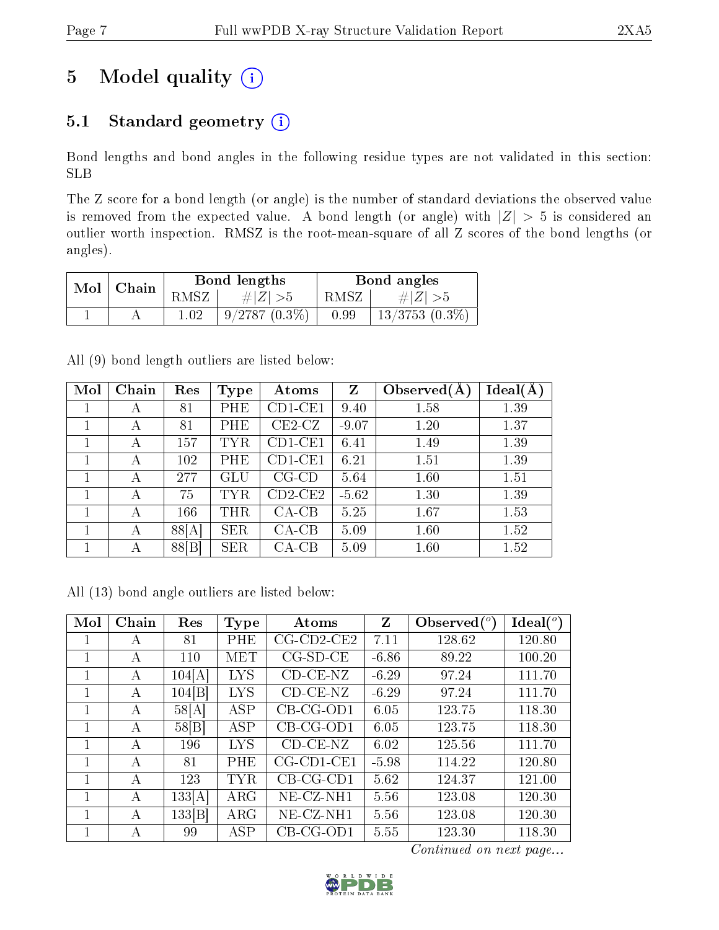# 5 Model quality  $(i)$

## 5.1 Standard geometry  $(i)$

Bond lengths and bond angles in the following residue types are not validated in this section: SLB

The Z score for a bond length (or angle) is the number of standard deviations the observed value is removed from the expected value. A bond length (or angle) with  $|Z| > 5$  is considered an outlier worth inspection. RMSZ is the root-mean-square of all Z scores of the bond lengths (or angles).

| Mol | Chain |          | Bond lengths    | Bond angles |                     |  |
|-----|-------|----------|-----------------|-------------|---------------------|--|
|     |       | RMSZ     | $\# Z  > 5$     | RMSZ        | $\# Z $             |  |
|     |       | $1.02\,$ | $9/2787(0.3\%)$ | 0.99        | $13/3753$ $(0.3\%)$ |  |

All (9) bond length outliers are listed below:

| Mol | Chain | Res   | Type         | Atoms     | Z       | Observed $(A$ | Ideal(A |
|-----|-------|-------|--------------|-----------|---------|---------------|---------|
| 1   | A     | 81    | PHE          | $CD1-CE1$ | 9.40    | 1.58          | 1.39    |
|     | А     | 81    | PHE          | $CE2-CZ$  | $-9.07$ | 1.20          | 1.37    |
|     | А     | 157   | TYR          | $CD1-CE1$ | 6.41    | 1.49          | 1.39    |
|     | А     | 102   | PHE          | $CD1-CE1$ | 6.21    | 1.51          | 1.39    |
|     | А     | 277   | GLU          | $CG-CD$   | 5.64    | 1.60          | 1.51    |
|     | А     | 75    | $_{\rm TYR}$ | $CD2-CE2$ | $-5.62$ | 1.30          | 1.39    |
|     | А     | 166   | THR          | $CA-CB$   | 5.25    | 1.67          | 1.53    |
| 1   | А     | 88[A] | <b>SER</b>   | $CA-CB$   | 5.09    | 1.60          | 1.52    |
|     | А     | 88[B] | SER          | $CA-CB$   | 5.09    | 1.60          | 1.52    |

All (13) bond angle outliers are listed below:

| Mol          | Chain | Res    | <b>Type</b> | Atoms                 | Z       | Observed $(°)$ | $\text{Ideal}({}^o)$ |
|--------------|-------|--------|-------------|-----------------------|---------|----------------|----------------------|
| 1            | А     | 81     | <b>PHE</b>  | $CG$ - $CD$ 2- $CE$ 2 | 7.11    | 128.62         | 120.80               |
| 1            | А     | 110    | MET         | $CG-SD-CE$            | $-6.86$ | 89.22          | 100.20               |
| 1            | А     | 104[A] | <b>LYS</b>  | $CD-CE-NZ$            | $-6.29$ | 97.24          | 111.70               |
| 1            | А     | 104[B] | <b>LYS</b>  | $CD-CE-NZ$            | $-6.29$ | 97.24          | 111.70               |
| 1            | A     | 58[A]  | <b>ASP</b>  | $CB-CG-OD1$           | 6.05    | 123.75         | 118.30               |
| 1            | А     | 58 B   | <b>ASP</b>  | $CB-CG-OD1$           | 6.05    | 123.75         | 118.30               |
| 1            | А     | 196    | <b>LYS</b>  | $CD-CE-NZ$            | 6.02    | 125.56         | 111.70               |
| $\mathbf{1}$ | А     | 81     | PHE         | $CG$ - $CD1$ - $CE1$  | $-5.98$ | 114.22         | 120.80               |
| 1            | А     | 123    | TYR         | $CB-CG-CD1$           | 5.62    | 124.37         | 121.00               |
| 1            | А     | 133[A] | $\rm{ARG}$  | NE-CZ-NH1             | 5.56    | 123.08         | 120.30               |
| 1            | А     | 133 B  | $\rm{ARG}$  | NE-CZ-NH1             | 5.56    | 123.08         | 120.30               |
| 1            | А     | 99     | ASP         | $CB-CG-OD1$           | 5.55    | 123.30         | 118.30               |

Continued on next page...

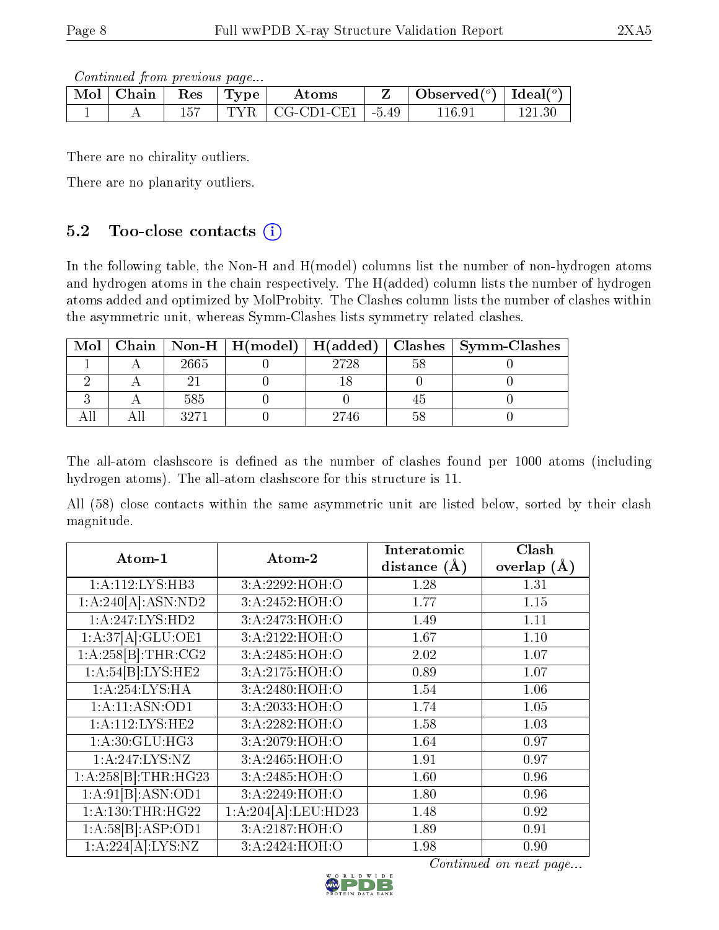Continued from previous page...

| Mol | ⊓Chain | Res | 'Type | Atoms                      | Observed $(^\circ)$   Ideal $(^\circ)$ |     |
|-----|--------|-----|-------|----------------------------|----------------------------------------|-----|
|     |        |     |       | $TYR$   CG-CD1-CE1   -5.49 | 116.91                                 | 121 |

There are no chirality outliers.

There are no planarity outliers.

### 5.2 Too-close contacts  $(i)$

In the following table, the Non-H and H(model) columns list the number of non-hydrogen atoms and hydrogen atoms in the chain respectively. The H(added) column lists the number of hydrogen atoms added and optimized by MolProbity. The Clashes column lists the number of clashes within the asymmetric unit, whereas Symm-Clashes lists symmetry related clashes.

| Mol |      |      | Chain   Non-H   H(model)   H(added)   Clashes   Symm-Clashes |
|-----|------|------|--------------------------------------------------------------|
|     | 2665 | 2728 |                                                              |
|     |      |      |                                                              |
|     | 585  |      |                                                              |
|     | 3971 | 2746 |                                                              |

The all-atom clashscore is defined as the number of clashes found per 1000 atoms (including hydrogen atoms). The all-atom clashscore for this structure is 11.

All (58) close contacts within the same asymmetric unit are listed below, sorted by their clash magnitude.

| Atom-1              | Atom-2              | Interatomic    | Clash         |
|---------------------|---------------------|----------------|---------------|
|                     |                     | distance $(A)$ | overlap $(A)$ |
| 1:A:112:LYS:HB3     | 3:A:2292:HOH:O      | 1.28           | 1.31          |
| 1:A:240[A]:ASN:ND2  | 3:A:2452:HOH:O      | 1.77           | 1.15          |
| 1:A:247:LYS:HD2     | 3:A:2473:HOH:O      | 1.49           | 1.11          |
| 1:A:37[A]:GLU:OE1   | 3:A:2122:HOH:O      | 1.67           | 1.10          |
| 1:A:258[B]:THR:CG2  | 3:A:2485:HOH:O      | 2.02           | 1.07          |
| 1:A:54[B]:LYS:HE2   | 3:A:2175:HOH:O      | 0.89           | 1.07          |
| 1:A:254:LYS:HA      | 3:A:2480:HOH:O      | 1.54           | 1.06          |
| 1:A:11:ASN:OD1      | 3:A:2033:HOH:O      | 1.74           | 1.05          |
| 1: A:112:LYS:HE2    | 3:A:2282:HOH:O      | 1.58           | 1.03          |
| 1:A:30:GLU:HG3      | 3:A:2079:HOH:O      | 1.64           | 0.97          |
| 1:A:247:LYS:NZ      | 3:A:2465:HOH:O      | 1.91           | 0.97          |
| 1:A:258[B]:THR:HG23 | 3:A:2485:HOH:O      | 1.60           | 0.96          |
| 1:A:91[B].ASN:OD1   | 3:A:2249:HOH:O      | 1.80           | 0.96          |
| 1:A:130:THR:HG22    | 1:A:204[A]:LEU:HD23 | 1.48           | 0.92          |
| 1:A:58[B]:ASP:OD1   | 3:A:2187:HOH:O      | 1.89           | 0.91          |
| 1:A:224[A]:LYS:NZ   | 3:A:2424:HOH:O      | 1.98           | 0.90          |

Continued on next page...

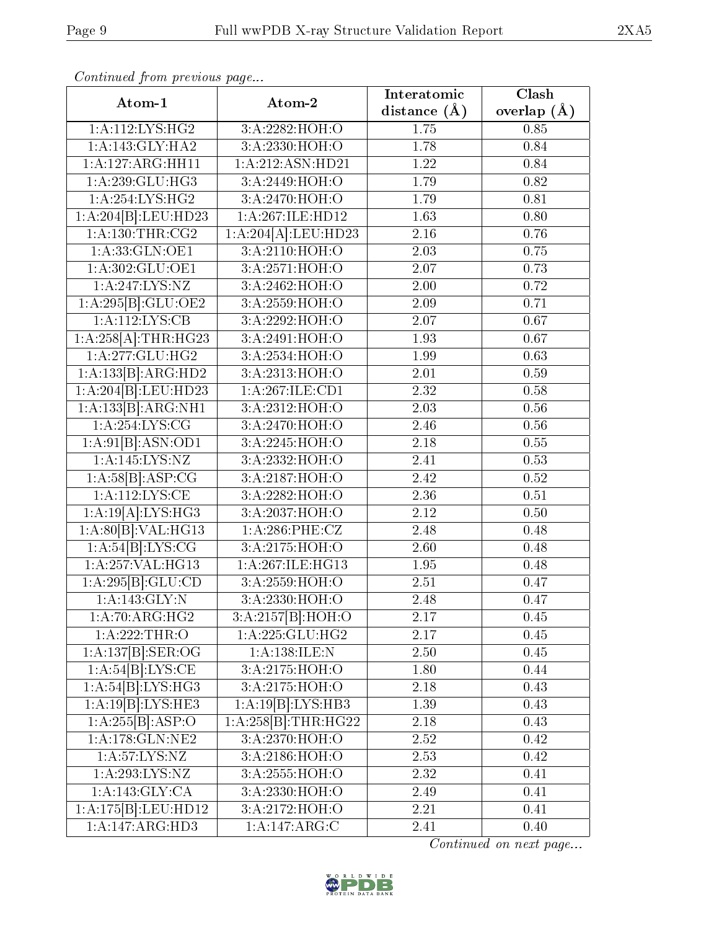| Atom-1                      | Atom-2              | Interatomic       | Clash           |
|-----------------------------|---------------------|-------------------|-----------------|
|                             |                     | distance $(A)$    | overlap $(\AA)$ |
| 1: A:112:LYS:HG2            | 3: A: 2282: HOH:O   | 1.75              | 0.85            |
| 1:A:143:GLY:HA2             | 3: A:2330:HOH:O     | 1.78              | 0.84            |
| 1:A:127:ARG:HH11            | 1: A:212: ASN: HD21 | 1.22              | 0.84            |
| 1: A:239: GLU:HG3           | 3:A:2449:HOH:O      | 1.79              | 0.82            |
| 1:A:254:LYS:HG2             | 3:A:2470:HOH:O      | 1.79              | 0.81            |
| 1:A:204[B]:LEU:HD23         | 1:A:267:ILE:HD12    | 1.63              | 0.80            |
| 1: A: 130: THR: CG2         | 1:A:204[A].LEU:HD23 | 2.16              | 0.76            |
| 1: A:33: GLN:OE1            | 3: A:2110:HOH:O     | 2.03              | 0.75            |
| 1:A:302:GLU:OE1             | 3:A:2571:HOH:O      | 2.07              | 0.73            |
| 1:A:247:LYS:NZ              | 3:A:2462:HOH:O      | 2.00              | 0.72            |
| 1:A:295[B]:GLU:OE2          | 3:A:2559:HOH:O      | 2.09              | 0.71            |
| 1: A:112:LYS:CB             | 3: A: 2292: HOH:O   | 2.07              | 0.67            |
| 1:A:258[A]:THR:HG23         | 3:A:2491:HOH:O      | 1.93              | 0.67            |
| 1: A:277: GLU:HG2           | 3: A: 2534: HOH:O   | 1.99              | 0.63            |
| 1:A:133[B]:ARG:HD2          | 3:A:2313:HOH:O      | 2.01              | 0.59            |
| 1:A:204[B]:LEU:HD23         | 1:A:267:ILE:CD1     | $\overline{2.32}$ | 0.58            |
| 1:A:133[B]:ARG:NH1          | 3:A:2312:HOH:O      | 2.03              | 0.56            |
| 1: A:254:LYS:CG             | 3:A:2470:HOH:O      | 2.46              | 0.56            |
| 1:A:91[B]:ASN:OD1           | 3:A:2245:HOH:O      | 2.18              | 0.55            |
| 1: A: 145: LYS: NZ          | 3:A:2332:HOH:O      | 2.41              | 0.53            |
| 1:A:58[B]:ASP:CG            | 3:A:2187:HOH:O      | 2.42              | 0.52            |
| 1: A: 112: LYS: CE          | 3:A:2282:HOH:O      | 2.36              | 0.51            |
| 1:A:19[A]:LYS:HG3           | 3:A:2037:HOH:O      | 2.12              | 0.50            |
| 1:A:80[B]:VAL:H G13         | 1:A:286:PHE:CZ      | 2.48              | 0.48            |
| 1:A:54[B]:LYS:CG            | 3: A: 2175: HOH:O   | 2.60              | 0.48            |
| 1:A:257:VAL:HG13            | 1:A:267:ILE:HG13    | 1.95              | 0.48            |
| 1:A:295[B]:GLU:CD           | 3:A:2559:HOH:O      | 2.51              | 0.47            |
| 1: A:143: GLY:N             | 3:A:2330:HOH:O      | 2.48              | 0.47            |
| $1:A:7\overline{0:ARG:HG2}$ | 3:A:2157[B]:HOH:O   | 2.17              | 0.45            |
| 1:A:222:THR:O               | 1: A: 225: GLU: HG2 | 2.17              | 0.45            |
| 1:A:137[B]:SER:OG           | 1:A:138:ILE:N       | 2.50              | 0.45            |
| 1:A:54[B]:LYS:CE            | 3:A:2175:HOH:O      | 1.80              | 0.44            |
| $1:A:54[B]:LYS:H$ $G3$      | 3: A: 2175: HOH:O   | 2.18              | 0.43            |
| 1:A:19[B]:LYS:HE3           | 1:A:19[B]:LYS:HB3   | 1.39              | 0.43            |
| 1:A:255[B]:ASP:O            | 1:A:258[B]:THR:HG22 | 2.18              | 0.43            |
| 1:A:178:GLN:NE2             | 3:A:2370:HOH:O      | 2.52              | 0.42            |
| 1: A:57: LYS: NZ            | 3:A:2186:HOH:O      | 2.53              | 0.42            |
| 1:A:293:LYS:NZ              | 3:A:2555:HOH:O      | 2.32              | 0.41            |
| 1:A:143:GLY:CA              | 3:A:2330:HOH:O      | 2.49              | 0.41            |
| 1:A:175[B]:LEU:HD12         | 3:A:2172:HOH:O      | 2.21              | 0.41            |
| 1:A:147:ARG:HD3             | 1:A:147:ARG:C       | 2.41              | 0.40            |

Continued from previous page...

Continued on next page...

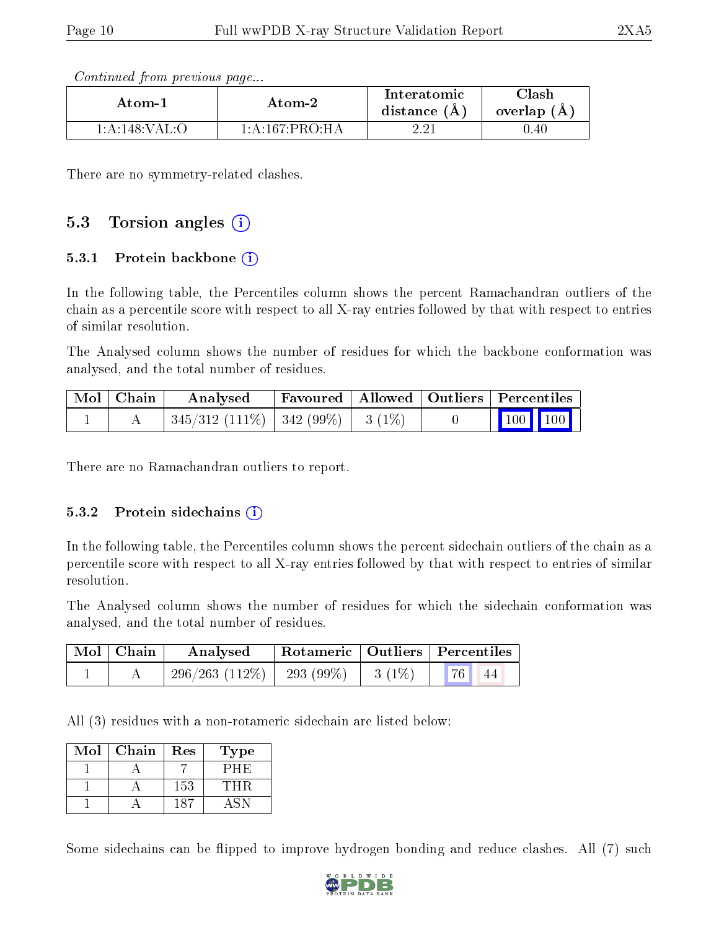Continued from previous page...

| Atom-1                        | Atom-2<br>$1 \cdot A \cdot 167 \cdot PRO \cdot H A$ |  | ${\rm Class}$<br>overlap $(A)$ |
|-------------------------------|-----------------------------------------------------|--|--------------------------------|
| $-1:$ A $:148:$ VAL: $\Omega$ |                                                     |  | 0.40                           |

There are no symmetry-related clashes.

### 5.3 Torsion angles (i)

#### 5.3.1 Protein backbone  $(i)$

In the following table, the Percentiles column shows the percent Ramachandran outliers of the chain as a percentile score with respect to all X-ray entries followed by that with respect to entries of similar resolution.

The Analysed column shows the number of residues for which the backbone conformation was analysed, and the total number of residues.

| Mol   Chain | Analysed                                 | $\parallel$ Favoured $\parallel$ Allowed $\parallel$ Outliers $\parallel$ Percentiles $\parallel$ |  |                                                                                    |  |
|-------------|------------------------------------------|---------------------------------------------------------------------------------------------------|--|------------------------------------------------------------------------------------|--|
|             | $345/312$ (111\%)   342 (99\%)   3 (1\%) |                                                                                                   |  | $\begin{array}{ c c c c c }\n\hline\n\multicolumn{1}{ c }{100} & 100\n\end{array}$ |  |

There are no Ramachandran outliers to report.

#### 5.3.2 Protein sidechains  $(i)$

In the following table, the Percentiles column shows the percent sidechain outliers of the chain as a percentile score with respect to all X-ray entries followed by that with respect to entries of similar resolution.

The Analysed column shows the number of residues for which the sidechain conformation was analysed, and the total number of residues.

| $\mid$ Mol $\mid$ Chain | Analysed                                 | Rotameric   Outliers   Percentiles |                        |  |
|-------------------------|------------------------------------------|------------------------------------|------------------------|--|
|                         | $296/263$ (112\%)   293 (99\%)   3 (1\%) |                                    | $\mid 76 \mid 44 \mid$ |  |

All (3) residues with a non-rotameric sidechain are listed below:

| Mol | Chain | Res | Type  |
|-----|-------|-----|-------|
|     |       |     | РНЕ)  |
|     |       | 153 | TH R. |
|     |       |     |       |

Some sidechains can be flipped to improve hydrogen bonding and reduce clashes. All (7) such

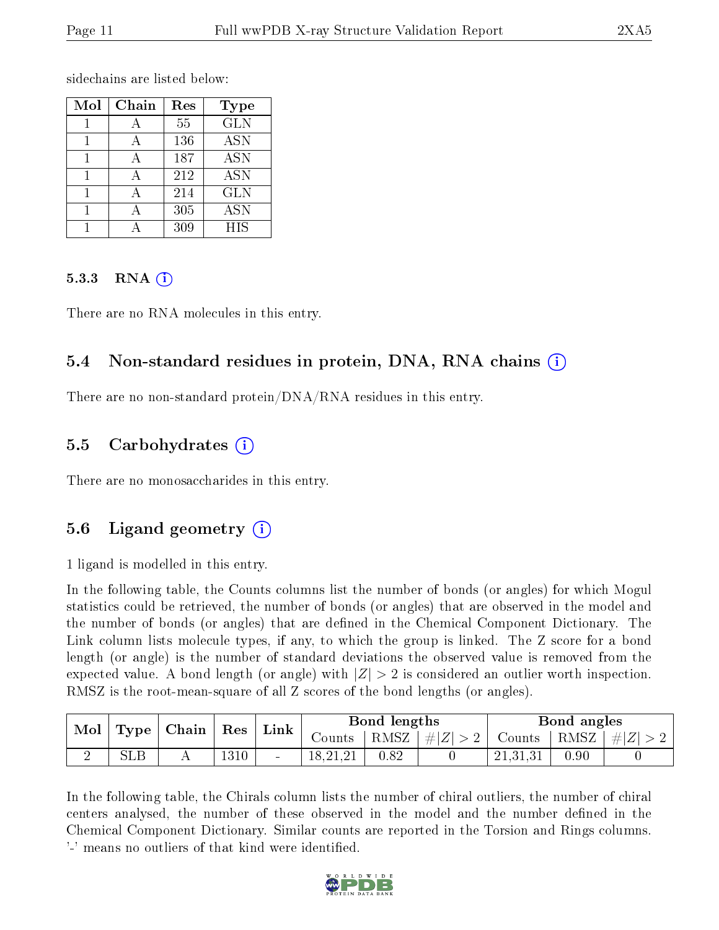sidechains are listed below:

| Mol | $Chain$ | Res | Type       |
|-----|---------|-----|------------|
|     |         | 55  | <b>GLN</b> |
|     |         | 136 | <b>ASN</b> |
|     |         | 187 | ASN        |
|     |         | 212 | <b>ASN</b> |
|     |         | 214 | <b>GLN</b> |
|     |         | 305 | <b>ASN</b> |
|     |         | 309 | HIS        |

#### 5.3.3 RNA  $(i)$

There are no RNA molecules in this entry.

### 5.4 Non-standard residues in protein, DNA, RNA chains  $(i)$

There are no non-standard protein/DNA/RNA residues in this entry.

### 5.5 Carbohydrates  $(i)$

There are no monosaccharides in this entry.

### 5.6 Ligand geometry  $(i)$

1 ligand is modelled in this entry.

In the following table, the Counts columns list the number of bonds (or angles) for which Mogul statistics could be retrieved, the number of bonds (or angles) that are observed in the model and the number of bonds (or angles) that are defined in the Chemical Component Dictionary. The Link column lists molecule types, if any, to which the group is linked. The Z score for a bond length (or angle) is the number of standard deviations the observed value is removed from the expected value. A bond length (or angle) with  $|Z| > 2$  is considered an outlier worth inspection. RMSZ is the root-mean-square of all Z scores of the bond lengths (or angles).

| Mol<br>Type |            | Chain |      |  | $\operatorname{Res}$ | Link |         | Bond lengths |      |         | Bond angles |  |
|-------------|------------|-------|------|--|----------------------|------|---------|--------------|------|---------|-------------|--|
|             |            |       |      |  | $\sim$ ounts         | RMSZ | $\# Z $ | Counts       | RMSZ | $\# Z $ |             |  |
|             | <b>SLB</b> |       | 1310 |  | 18,21,21             | 0.82 |         | 21,31,31     | 0.90 |         |             |  |

In the following table, the Chirals column lists the number of chiral outliers, the number of chiral centers analysed, the number of these observed in the model and the number defined in the Chemical Component Dictionary. Similar counts are reported in the Torsion and Rings columns. '-' means no outliers of that kind were identified.

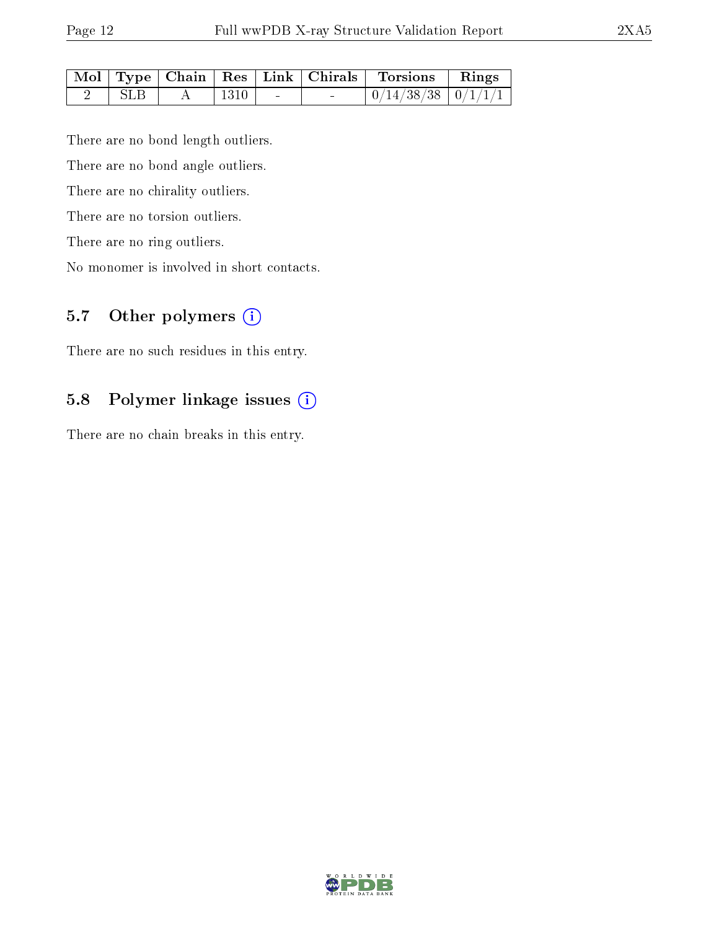|            |                      |                          | Mol   Type   Chain   Res   Link   Chirals | Torsions   Rings                                                             |  |
|------------|----------------------|--------------------------|-------------------------------------------|------------------------------------------------------------------------------|--|
| <b>SLB</b> | $\vert$ 1310 $\vert$ | <b>Contract Contract</b> |                                           | $\begin{array}{ c c c c c c }\hline 0/14/38/38 & 0/1/1/1 \hline \end{array}$ |  |

There are no bond length outliers.

There are no bond angle outliers.

There are no chirality outliers.

There are no torsion outliers.

There are no ring outliers.

No monomer is involved in short contacts.

## 5.7 [O](https://www.wwpdb.org/validation/2017/XrayValidationReportHelp#nonstandard_residues_and_ligands)ther polymers (i)

There are no such residues in this entry.

#### 5.8 Polymer linkage issues (i)

There are no chain breaks in this entry.

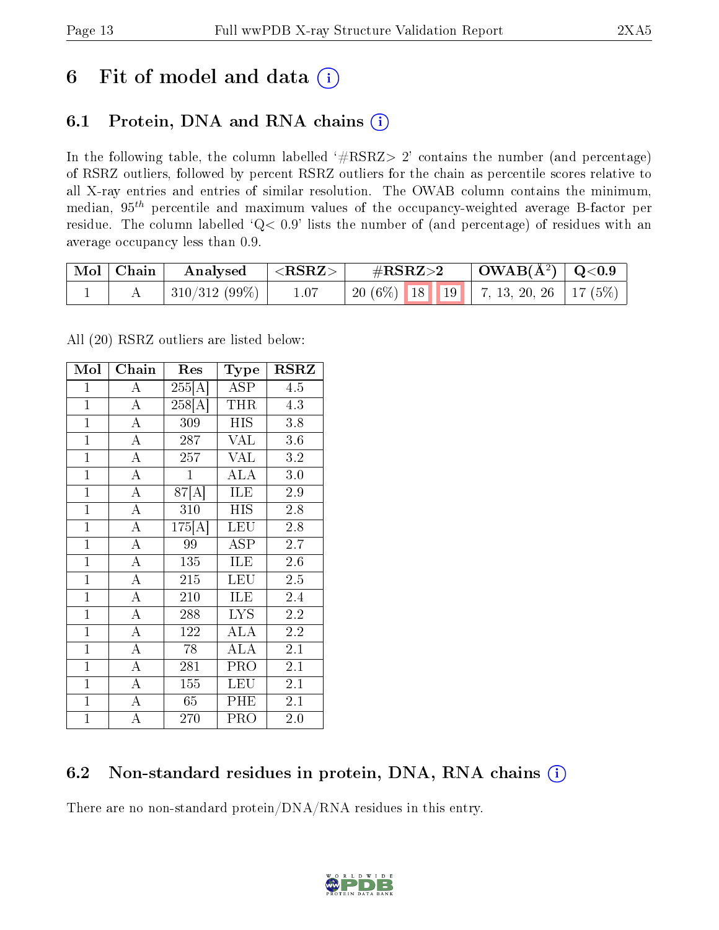## 6 Fit of model and data  $(i)$

## 6.1 Protein, DNA and RNA chains  $(i)$

In the following table, the column labelled  $#RSRZ> 2'$  contains the number (and percentage) of RSRZ outliers, followed by percent RSRZ outliers for the chain as percentile scores relative to all X-ray entries and entries of similar resolution. The OWAB column contains the minimum, median,  $95<sup>th</sup>$  percentile and maximum values of the occupancy-weighted average B-factor per residue. The column labelled ' $Q< 0.9$ ' lists the number of (and percentage) of residues with an average occupancy less than 0.9.

| $\mid$ Mol $\mid$ Chain | Analysed         | $  <$ RSRZ $>$ | $\#\text{RSRZ}\text{>2}$                   | $\vert$ OWAB( $\rm \AA^2) \vert$ Q<0.9 |  |
|-------------------------|------------------|----------------|--------------------------------------------|----------------------------------------|--|
|                         | $ 310/312(99\%)$ | 1.07           | $\mid$ 20 (6%) 18 19 7, 13, 20, 26 17 (5%) |                                        |  |

All (20) RSRZ outliers are listed below:

| Mol            | Chain              | Res                 | Type                    | <b>RSRZ</b>      |  |
|----------------|--------------------|---------------------|-------------------------|------------------|--|
| $\mathbf{1}$   | $\mathbf{A}$       | 255[A]              | <b>ASP</b>              | 4.5              |  |
| $\mathbf{1}$   | $\overline{A}$     | $\overline{258[A]}$ | <b>THR</b>              | 4.3              |  |
| $\mathbf{1}$   | $\overline{A}$     | 309                 | <b>HIS</b>              | 3.8              |  |
| $\overline{1}$ | $\overline{\rm A}$ | 287                 | VAL                     | $3.6\,$          |  |
| $\overline{1}$ | $\overline{\rm A}$ | $\overline{2}57$    | $\overline{\text{VAL}}$ | $\overline{3.2}$ |  |
| $\overline{1}$ | $\overline{A}$     | $\mathbf{1}$        | <b>ALA</b>              | 3.0              |  |
| $\overline{1}$ | $\overline{A}$     | 87[A]               | $\overline{\text{ILE}}$ | 2.9              |  |
| $\mathbf{1}$   | $\overline{\rm A}$ | 310                 | HIS                     | 2.8              |  |
| $\overline{1}$ | $\overline{\rm A}$ | 175[A]              | LEU                     | 2.8              |  |
| $\mathbf{1}$   | $\overline{A}$     | 99                  | $\overline{\text{ASP}}$ | 2.7              |  |
| $\mathbf{1}$   | $\overline{A}$     | $\overline{1}35$    | ILE                     | 2.6              |  |
| $\mathbf{1}$   | $\overline{\rm A}$ | 215                 | <b>LEU</b>              | 2.5              |  |
| $\mathbf{1}$   | $\overline{\rm A}$ | 210                 | ILE                     | 2.4              |  |
| $\mathbf{1}$   | $\overline{\rm A}$ | 288                 | <b>LYS</b>              | $\overline{2.2}$ |  |
| $\mathbf{1}$   | $\overline{A}$     | 122                 | <b>ALA</b>              | $\overline{2.2}$ |  |
| $\mathbf{1}$   | $\overline{\rm A}$ | 78                  | <b>ALA</b>              | 2.1              |  |
| $\mathbf{1}$   | $\overline{\rm A}$ | 281                 | PRO                     | 2.1              |  |
| $\mathbf{1}$   | $\overline{\rm A}$ | 155                 | <b>LEU</b>              | 2.1              |  |
| $\mathbf{1}$   | $\overline{\rm A}$ | 65                  | PHE                     | 2.1              |  |
| $\overline{1}$ | $\overline{\rm A}$ | 270                 | <b>PRO</b>              | 2.0              |  |

### 6.2 Non-standard residues in protein, DNA, RNA chains (i)

There are no non-standard protein/DNA/RNA residues in this entry.